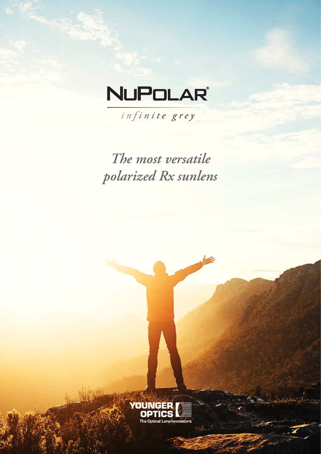## **NUPOLAR®**

infinite grey

The most versatile polarized Rx sunlens

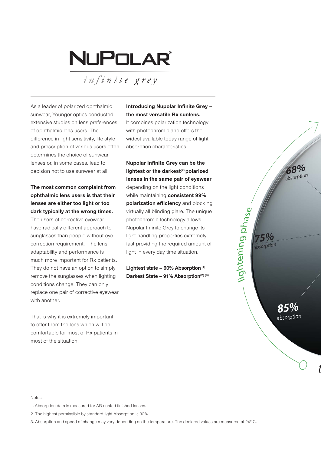# NUPOLAR

*<sup>i</sup> <sup>n</sup> f <sup>i</sup> <sup>n</sup> <sup>i</sup> <sup>t</sup> e grey*

As a leader of polarized ophthalmic sunwear, Younger optics conducted extensive studies on lens preferences of ophthalmic lens users. The difference in light sensitivity, life style and prescription of various users often determines the choice of sunwear lenses or, in some cases, lead to decision not to use sunwear at all.

#### **The most common complaint from ophthalmic lens users is that their lenses are either too light or too dark typically at the wrong times.**

The users of corrective eyewear have radically different approach to sunglasses than people without eye correction requirement. The lens adaptability and performance is much more important for Rx patients. They do not have an option to simply remove the sunglasses when lighting conditions change. They can only replace one pair of corrective eyewear with another.

That is why it is extremely important to offer them the lens which will be comfortable for most of Rx patients in most of the situation.

### **Introducing Nupolar Infinite Grey – the most versatile Rx sunlens.**

It combines polarization technology with photochromic and offers the widest available today range of light absorption characteristics.

**Nupolar Infinite Grey can be the**  lightest or the darkest<sup>(2)</sup> polarized **lenses in the same pair of eyewear** depending on the light conditions while maintaining **consistent 99% polarization efficiency** and blocking virtually all blinding glare. The unique photochromic technology allows Nupolar Infinite Grey to change its light handling properties extremely fast providing the required amount of light in every day time situation.

68% absorption

absorption

lightening phase

75% bsorption

**Lightest state – 60% Absorption (1) Darkest State – 91% Absorption(2) (3)**

#### Notes:

1. Absorption data is measured for AR coated finished lenses.

2. The highest permissible by standard light Absorption Is 92%.

3. Absorption and speed of change may vary depending on the temperature. The declared values are measured at 24° C.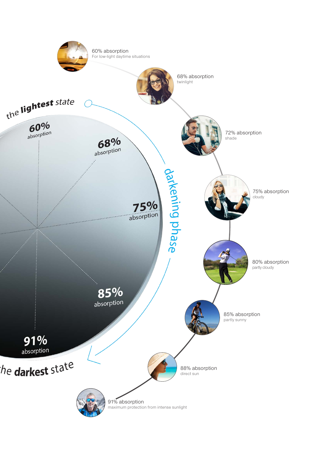